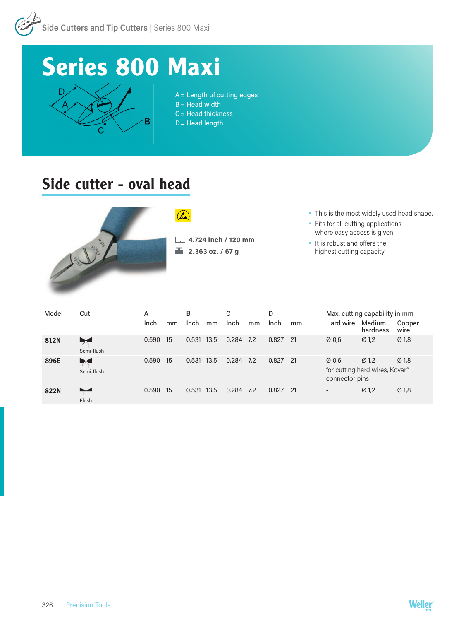

## **Series 800 Maxi**



A = Length of cutting edges  $B = Head$  width C = Head thickness  $D =$  Head length

## Side cutter - oval head



 $\Omega$ 

**4.724 Inch / 120 mm 2.363 oz. / 67 g**

- This is the most widely used head shape.
- Fits for all cutting applications where easy access is given
- It is robust and offers the highest cutting capacity.

| Model | Cut                                 | A     |    | B     |      |       |     | D     |      | Max. cutting capability in mm                                                                                  |                    |                  |
|-------|-------------------------------------|-------|----|-------|------|-------|-----|-------|------|----------------------------------------------------------------------------------------------------------------|--------------------|------------------|
|       |                                     | Inch  | mm | Inch  | mm   | Inch  | mm  | Inch  | mm   | Hard wire                                                                                                      | Medium<br>hardness | Copper<br>wire   |
| 812N  | $\blacktriangleright$<br>Semi-flush | 0.590 | 15 | 0.531 | 13.5 | 0.284 | 7.2 | 0.827 | -21  | Ø0,6                                                                                                           | Ø <sub>1,2</sub>   | Ø <sub>1,8</sub> |
| 896E  | $\blacktriangleright$<br>Semi-flush | 0.590 | 15 | 0.531 | 13.5 | 0.284 | 7.2 | 0.827 | - 21 | Ø0.6<br>Ø <sub>1.2</sub><br>Ø <sub>1,8</sub><br>for cutting hard wires, Kovar <sup>®</sup> ,<br>connector pins |                    |                  |
| 822N  | Flush                               | 0.590 | 15 | 0.531 | 13.5 | 0.284 | 7.2 | 0.827 | - 21 | $\overline{\phantom{a}}$                                                                                       | Ø <sub>1,2</sub>   | Ø <sub>1,8</sub> |